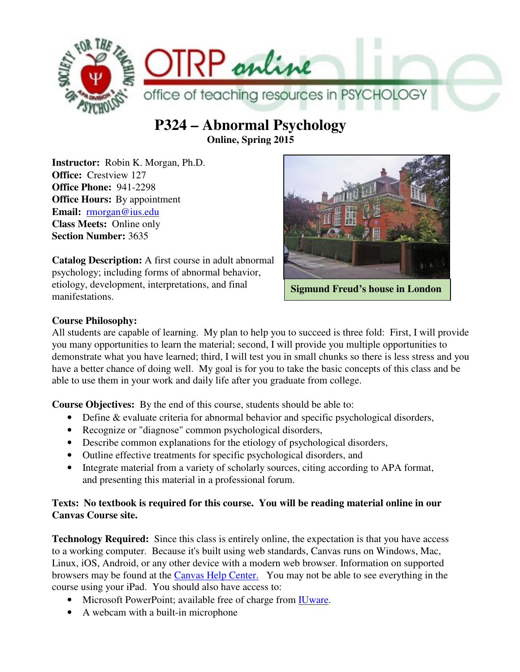

# **P324 – Abnormal Psychology Online, Spring 2015**

**Instructor:** Robin K. Morgan, Ph.D. **Office:** Crestview 127 **Office Phone:** 941-2298 **Office Hours:** By appointment **Email:** rmorgan@ius.edu **Class Meets:** Online only **Section Number:** 3635



**Catalog Description:** A first course in adult abnormal psychology; including forms of abnormal behavior, etiology, development, interpretations, and final manifestations.

**Sigmund Freud's house in London** 

## **Course Philosophy:**

All students are capable of learning. My plan to help you to succeed is three fold: First, I will provide you many opportunities to learn the material; second, I will provide you multiple opportunities to demonstrate what you have learned; third, I will test you in small chunks so there is less stress and you have a better chance of doing well. My goal is for you to take the basic concepts of this class and be able to use them in your work and daily life after you graduate from college.

**Course Objectives:** By the end of this course, students should be able to:

- Define & evaluate criteria for abnormal behavior and specific psychological disorders,
- Recognize or "diagnose" common psychological disorders,
- Describe common explanations for the etiology of psychological disorders,
- Outline effective treatments for specific psychological disorders, and
- Integrate material from a variety of scholarly sources, citing according to APA format, and presenting this material in a professional forum.

## **Texts: No textbook is required for this course. You will be reading material online in our Canvas Course site.**

**Technology Required:** Since this class is entirely online, the expectation is that you have access to a working computer. Because it's built using web standards, Canvas runs on Windows, Mac, Linux, iOS, Android, or any other device with a modern web browser. Information on supported browsers may be found at the Canvas Help Center. You may not be able to see everything in the course using your iPad. You should also have access to:

- Microsoft PowerPoint; available free of charge from IUware.
- A webcam with a built-in microphone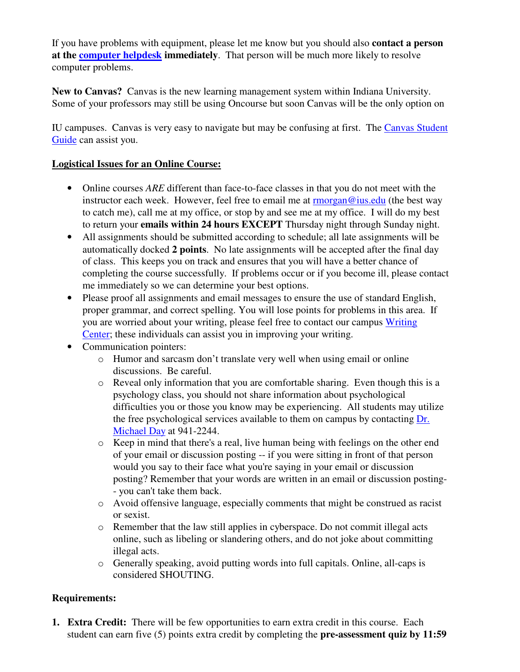If you have problems with equipment, please let me know but you should also **contact a person at the computer helpdesk immediately**. That person will be much more likely to resolve computer problems.

**New to Canvas?** Canvas is the new learning management system within Indiana University. Some of your professors may still be using Oncourse but soon Canvas will be the only option on

IU campuses. Canvas is very easy to navigate but may be confusing at first. The Canvas Student Guide can assist you.

### **Logistical Issues for an Online Course:**

- Online courses *ARE* different than face-to-face classes in that you do not meet with the instructor each week. However, feel free to email me at  $\overline{\text{rmorgan@ius.edu}}$  (the best way to catch me), call me at my office, or stop by and see me at my office. I will do my best to return your **emails within 24 hours EXCEPT** Thursday night through Sunday night.
- All assignments should be submitted according to schedule; all late assignments will be automatically docked **2 points**. No late assignments will be accepted after the final day of class. This keeps you on track and ensures that you will have a better chance of completing the course successfully. If problems occur or if you become ill, please contact me immediately so we can determine your best options.
- Please proof all assignments and email messages to ensure the use of standard English, proper grammar, and correct spelling. You will lose points for problems in this area. If you are worried about your writing, please feel free to contact our campus Writing Center; these individuals can assist you in improving your writing.
- Communication pointers:
	- o Humor and sarcasm don't translate very well when using email or online discussions. Be careful.
	- o Reveal only information that you are comfortable sharing. Even though this is a psychology class, you should not share information about psychological difficulties you or those you know may be experiencing. All students may utilize the free psychological services available to them on campus by contacting Dr. Michael Day at 941-2244.
	- o Keep in mind that there's a real, live human being with feelings on the other end of your email or discussion posting -- if you were sitting in front of that person would you say to their face what you're saying in your email or discussion posting? Remember that your words are written in an email or discussion posting- - you can't take them back.
	- o Avoid offensive language, especially comments that might be construed as racist or sexist.
	- o Remember that the law still applies in cyberspace. Do not commit illegal acts online, such as libeling or slandering others, and do not joke about committing illegal acts.
	- o Generally speaking, avoid putting words into full capitals. Online, all-caps is considered SHOUTING.

## **Requirements:**

**1. Extra Credit:** There will be few opportunities to earn extra credit in this course. Each student can earn five (5) points extra credit by completing the **pre-assessment quiz by 11:59**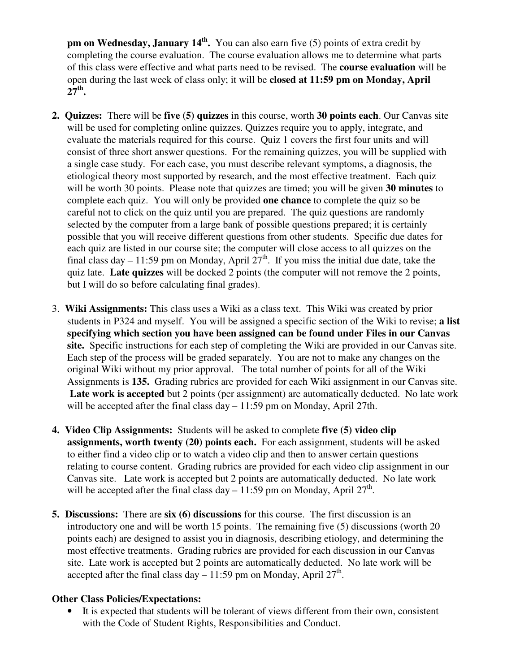**pm on Wednesday, January 14th .** You can also earn five (5) points of extra credit by completing the course evaluation. The course evaluation allows me to determine what parts of this class were effective and what parts need to be revised. The **course evaluation** will be open during the last week of class only; it will be **closed at 11:59 pm on Monday, April 27th .**

- **2. Quizzes:** There will be **five (5) quizzes** in this course, worth **30 points each**. Our Canvas site will be used for completing online quizzes. Quizzes require you to apply, integrate, and evaluate the materials required for this course. Quiz 1 covers the first four units and will consist of three short answer questions. For the remaining quizzes, you will be supplied with a single case study. For each case, you must describe relevant symptoms, a diagnosis, the etiological theory most supported by research, and the most effective treatment. Each quiz will be worth 30 points. Please note that quizzes are timed; you will be given **30 minutes** to complete each quiz. You will only be provided **one chance** to complete the quiz so be careful not to click on the quiz until you are prepared. The quiz questions are randomly selected by the computer from a large bank of possible questions prepared; it is certainly possible that you will receive different questions from other students. Specific due dates for each quiz are listed in our course site; the computer will close access to all quizzes on the final class day – 11:59 pm on Monday, April  $27<sup>th</sup>$ . If you miss the initial due date, take the quiz late. **Late quizzes** will be docked 2 points (the computer will not remove the 2 points, but I will do so before calculating final grades).
- 3. **Wiki Assignments:** This class uses a Wiki as a class text. This Wiki was created by prior students in P324 and myself.You will be assigned a specific section of the Wiki to revise; **a list specifying which section you have been assigned can be found under Files in our Canvas site.** Specific instructions for each step of completing the Wiki are provided in our Canvas site. Each step of the process will be graded separately. You are not to make any changes on the original Wiki without my prior approval. The total number of points for all of the Wiki Assignments is **135.** Grading rubrics are provided for each Wiki assignment in our Canvas site.  **Late work is accepted** but 2 points (per assignment) are automatically deducted.No late work will be accepted after the final class day – 11:59 pm on Monday, April 27th.
- **4. Video Clip Assignments:** Students will be asked to complete **five (5) video clip assignments, worth twenty (20) points each.** For each assignment, students will be asked to either find a video clip or to watch a video clip and then to answer certain questions relating to course content. Grading rubrics are provided for each video clip assignment in our Canvas site. Late work is accepted but 2 points are automatically deducted. No late work will be accepted after the final class day  $-11:59$  pm on Monday, April 27<sup>th</sup>.
- **5. Discussions:** There are **six (6) discussions** for this course. The first discussion is an introductory one and will be worth 15 points. The remaining five (5) discussions (worth 20 points each) are designed to assist you in diagnosis, describing etiology, and determining the most effective treatments. Grading rubrics are provided for each discussion in our Canvas site. Late work is accepted but 2 points are automatically deducted. No late work will be accepted after the final class day  $-11:59$  pm on Monday, April 27<sup>th</sup>.

#### **Other Class Policies/Expectations:**

It is expected that students will be tolerant of views different from their own, consistent with the Code of Student Rights, Responsibilities and Conduct.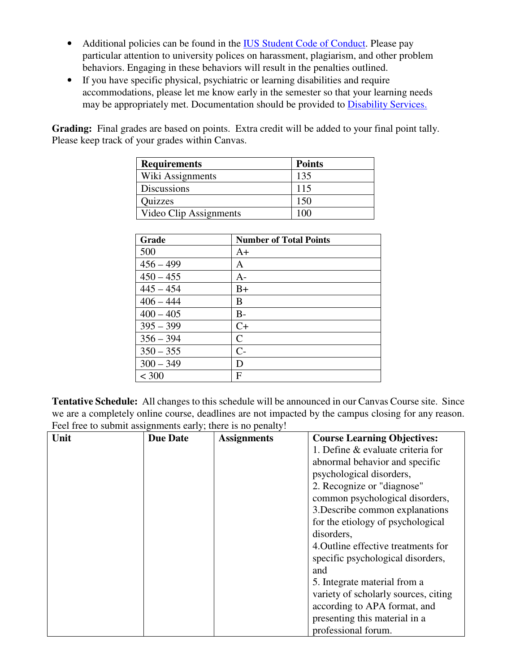- Additional policies can be found in the IUS Student Code of Conduct. Please pay particular attention to university polices on harassment, plagiarism, and other problem behaviors. Engaging in these behaviors will result in the penalties outlined.
- If you have specific physical, psychiatric or learning disabilities and require accommodations, please let me know early in the semester so that your learning needs may be appropriately met. Documentation should be provided to Disability Services.

Grading: Final grades are based on points. Extra credit will be added to your final point tally. Please keep track of your grades within Canvas.

| <b>Requirements</b>    | <b>Points</b> |
|------------------------|---------------|
| Wiki Assignments       | 135           |
| <b>Discussions</b>     | 115           |
| Quizzes                | 150           |
| Video Clip Assignments | m             |

| Grade       | <b>Number of Total Points</b> |
|-------------|-------------------------------|
| 500         | $A+$                          |
| $456 - 499$ | A                             |
| $450 - 455$ | $A -$                         |
| $445 - 454$ | $B+$                          |
| $406 - 444$ | B                             |
| $400 - 405$ | $B-$                          |
| $395 - 399$ | $C+$                          |
| $356 - 394$ | $\mathsf{C}$                  |
| $350 - 355$ | $C-$                          |
| $300 - 349$ | D                             |
| < 300       | F                             |

**Tentative Schedule:** All changes to this schedule will be announced in our Canvas Course site. Since we are a completely online course, deadlines are not impacted by the campus closing for any reason. Feel free to submit assignments early; there is no penalty!

| Unit | <b>Due Date</b> | <b>Assignments</b> | <b>Course Learning Objectives:</b>   |
|------|-----------------|--------------------|--------------------------------------|
|      |                 |                    | 1. Define & evaluate criteria for    |
|      |                 |                    | abnormal behavior and specific       |
|      |                 |                    | psychological disorders,             |
|      |                 |                    | 2. Recognize or "diagnose"           |
|      |                 |                    | common psychological disorders,      |
|      |                 |                    | 3. Describe common explanations      |
|      |                 |                    | for the etiology of psychological    |
|      |                 |                    | disorders,                           |
|      |                 |                    | 4. Outline effective treatments for  |
|      |                 |                    | specific psychological disorders,    |
|      |                 |                    | and                                  |
|      |                 |                    | 5. Integrate material from a         |
|      |                 |                    | variety of scholarly sources, citing |
|      |                 |                    | according to APA format, and         |
|      |                 |                    | presenting this material in a        |
|      |                 |                    | professional forum.                  |